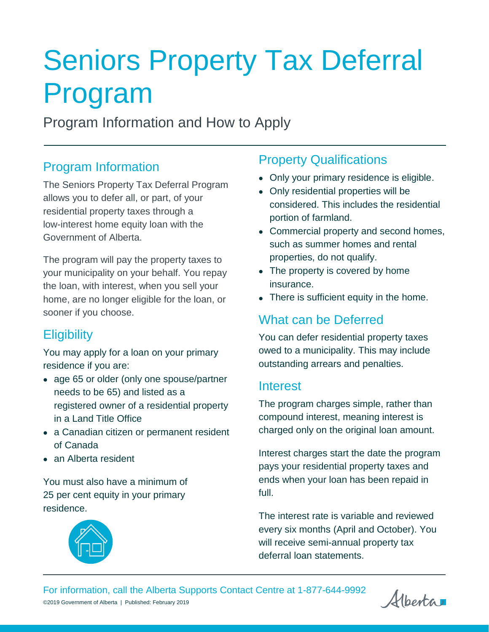# Seniors Property Tax Deferral Program

Program Information and How to Apply

## Program Information

The Seniors Property Tax Deferral Program allows you to defer all, or part, of your residential property taxes through a low-interest home equity loan with the Government of Alberta.

The program will pay the property taxes to your municipality on your behalf. You repay the loan, with interest, when you sell your home, are no longer eligible for the loan, or sooner if you choose.

# **Eligibility**

You may apply for a loan on your primary residence if you are:

- age 65 or older (only one spouse/partner needs to be 65) and listed as a registered owner of a residential property in a Land Title Office
- a Canadian citizen or permanent resident of Canada
- an Alberta resident

You must also have a minimum of 25 per cent equity in your primary residence.



## Property Qualifications

- Only your primary residence is eligible.
- Only residential properties will be considered. This includes the residential portion of farmland.
- Commercial property and second homes, such as summer homes and rental properties, do not qualify.
- The property is covered by home insurance.
- There is sufficient equity in the home.

# What can be Deferred

You can defer residential property taxes owed to a municipality. This may include outstanding arrears and penalties.

## Interest

The program charges simple, rather than compound interest, meaning interest is charged only on the original loan amount.

Interest charges start the date the program pays your residential property taxes and ends when your loan has been repaid in full.

The interest rate is variable and reviewed every six months (April and October). You will receive semi-annual property tax deferral loan statements.

For information, call the Alberta Supports Contact Centre at 1-877-644-9992 ©2019 Government of Alberta | Published: February 2019

Alberta